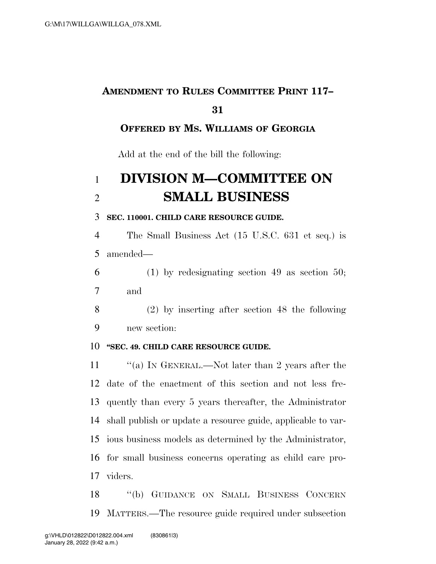# **AMENDMENT TO RULES COMMITTEE PRINT 117–**

### 

### **OFFERED BY MS. WILLIAMS OF GEORGIA**

Add at the end of the bill the following:

## **DIVISION M—COMMITTEE ON SMALL BUSINESS**

#### **SEC. 110001. CHILD CARE RESOURCE GUIDE.**

 The Small Business Act (15 U.S.C. 631 et seq.) is amended—

 (1) by redesignating section 49 as section 50; and

 (2) by inserting after section 48 the following new section:

### **''SEC. 49. CHILD CARE RESOURCE GUIDE.**

 ''(a) IN GENERAL.—Not later than 2 years after the date of the enactment of this section and not less fre- quently than every 5 years thereafter, the Administrator shall publish or update a resource guide, applicable to var- ious business models as determined by the Administrator, for small business concerns operating as child care pro-viders.

 ''(b) GUIDANCE ON SMALL BUSINESS CONCERN MATTERS.—The resource guide required under subsection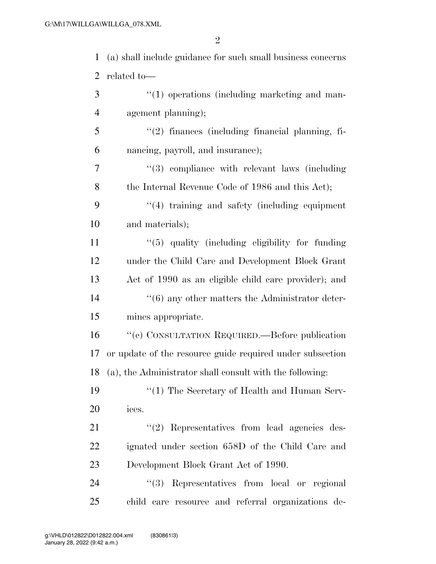2

| 1              | (a) shall include guidance for such small business concerns |
|----------------|-------------------------------------------------------------|
| $\overline{2}$ | related to-                                                 |
| 3              | $\lq(1)$ operations (including marketing and man-           |
| $\overline{4}$ | agement planning);                                          |
| 5              | "(2) finances (including financial planning, fi-            |
| 6              | nancing, payroll, and insurance);                           |
| 7              | $(3)$ compliance with relevant laws (including              |
| 8              | the Internal Revenue Code of 1986 and this Act);            |
| 9              | "(4) training and safety (including equipment               |
| 10             | and materials);                                             |
| 11             | $\lq(5)$ quality (including eligibility for funding         |
| 12             | under the Child Care and Development Block Grant            |
| 13             | Act of 1990 as an eligible child care provider); and        |
| 14             | $\cdot\cdot$ (6) any other matters the Administrator deter- |
| 15             | mines appropriate.                                          |
| 16             | "(c) CONSULTATION REQUIRED.—Before publication              |
| 17             | or update of the resource guide required under subsection   |
|                | 18 (a), the Administrator shall consult with the following: |
| 19             | "(1) The Secretary of Health and Human Serv-                |
| 20             | ices.                                                       |
| 21             | $\lq(2)$ Representatives from lead agencies des-            |
| 22             | ignated under section 658D of the Child Care and            |
| 23             | Development Block Grant Act of 1990.                        |
| 24             | "(3) Representatives from local or regional                 |
| 25             | child care resource and referral organizations de-          |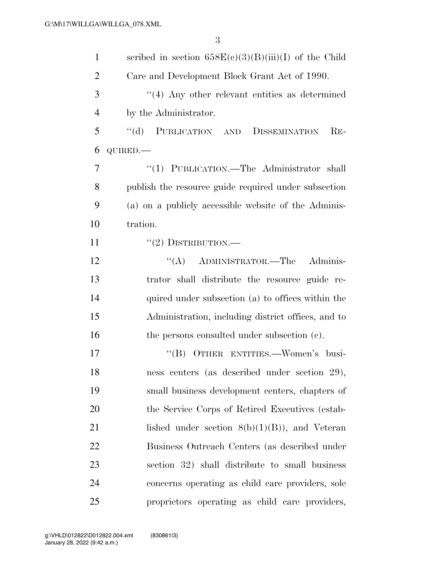| $\mathbf{1}$   | scribed in section $658E(c)(3)(B)(iii)(I)$ of the Child |
|----------------|---------------------------------------------------------|
| $\overline{2}$ | Care and Development Block Grant Act of 1990.           |
| 3              | $\cdot$ (4) Any other relevant entities as determined   |
| $\overline{4}$ | by the Administrator.                                   |
| 5              | "(d) PUBLICATION AND DISSEMINATION<br>$RE-$             |
| 6              | QUIRED.-                                                |
| 7              | "(1) PUBLICATION.—The Administrator shall               |
| 8              | publish the resource guide required under subsection    |
| 9              | (a) on a publicly accessible website of the Adminis-    |
| 10             | tration.                                                |
| 11             | $``(2)$ DISTRIBUTION.—                                  |
| 12             | "(A) ADMINISTRATOR.—The<br>Adminis-                     |
| 13             | trator shall distribute the resource guide re-          |
| 14             | quired under subsection (a) to offices within the       |
| 15             | Administration, including district offices, and to      |
| 16             | the persons consulted under subsection (c).             |
| 17             | "(B) OTHER ENTITIES.—Women's busi-                      |
| 18             | ness centers (as described under section 29),           |
| 19             | small business development centers, chapters of         |
| 20             | the Service Corps of Retired Executives (estab-         |
| 21             | lished under section $8(b)(1)(B)$ , and Veteran         |
| 22             | Business Outreach Centers (as described under           |
| 23             | section 32) shall distribute to small business          |
| 24             | concerns operating as child care providers, sole        |
| 25             | proprietors operating as child care providers,          |